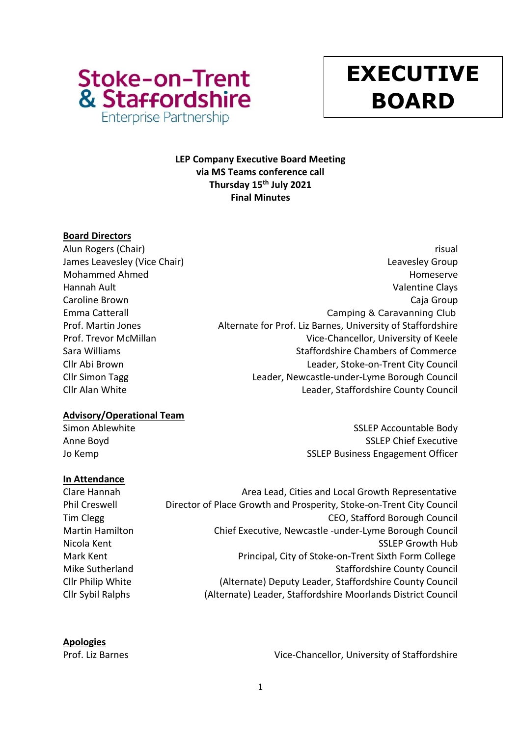

# **y EXECUTIVE BOARD**

# **LEP Company Executive Board Meeting via MS Teams conference call Thursday 15 th July 2021 Final Minutes**

# **Board Directors**

Alun Rogers (Chair) **risual** James Leavesley (Vice Chair) **Leaves According to the Chair** Chair Chair Chair Chair Chair Chair Chair Chair Chai Mohammed Ahmed **Homeserve** Homeserve Homeserve Homeserve Homeserve Homeserve Homeserve Hannah Ault Valentine Clays Caroline Brown Caja Group Emma Catterall Camping & Caravanning Club Prof. Martin Jones Alternate for Prof. Liz Barnes, University of Staffordshire Prof. Trevor McMillan Vice-Chancellor, University of Keele Sara Williams **Staffordshire Chambers of Commerce** Cllr Abi Brown Leader, Stoke-on-Trent City Council Cllr Simon Tagg Leader, Newcastle-under-Lyme Borough Council Cllr Alan White Leader, Staffordshire County Council

# **Advisory/Operational Team**

Simon Ablewhite Simon Ablewhite SSLEP Accountable Body Anne Boyd **SSLEP Chief Executive** Jo Kemp **SSLEP Business Engagement Officer** 

# **In Attendance**

Clare Hannah **Area Lead, Cities and Local Growth Representative** Area Lead, Cities and Local Growth Representative Phil Creswell Director of Place Growth and Prosperity, Stoke-on-Trent City Council Tim Clegg CEO, Stafford Borough Council Martin Hamilton Chief Executive, Newcastle -under-Lyme Borough Council Nicola Kent Nicola Kent SSLEP Growth Hub Mark Kent **Principal, City of Stoke-on-Trent Sixth Form College** Mike Sutherland **Staffordshire County Council** Cllr Philip White (Alternate) Deputy Leader, Staffordshire County Council Cllr Sybil Ralphs (Alternate) Leader, Staffordshire Moorlands District Council

**Apologies**

Prof. Liz Barnes **Vice-Chancellor**, University of Staffordshire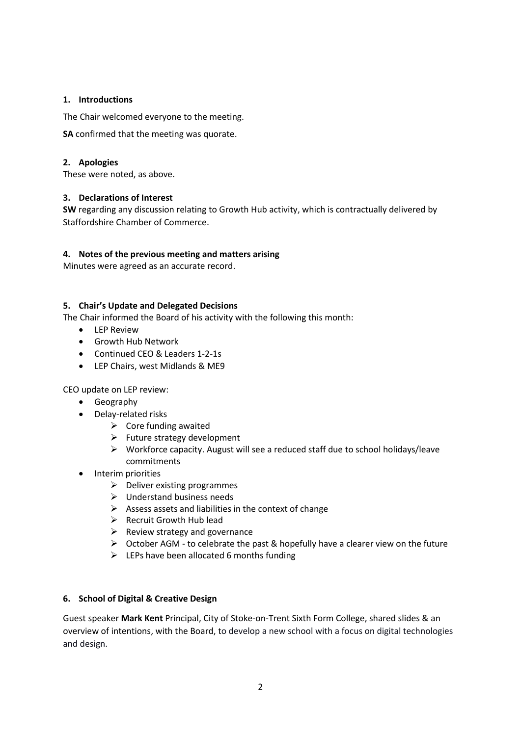# **1. Introductions**

The Chair welcomed everyone to the meeting.

**SA** confirmed that the meeting was quorate.

## **2. Apologies**

These were noted, as above.

## **3. Declarations of Interest**

**SW** regarding any discussion relating to Growth Hub activity, which is contractually delivered by Staffordshire Chamber of Commerce.

## **4. Notes of the previous meeting and matters arising**

Minutes were agreed as an accurate record.

#### **5. Chair's Update and Delegated Decisions**

The Chair informed the Board of his activity with the following this month:

- LEP Review
- Growth Hub Network
- Continued CEO & Leaders 1-2-1s
- LEP Chairs, west Midlands & ME9

CEO update on LEP review:

- Geography
- Delay-related risks
	- $\triangleright$  Core funding awaited
	- $\triangleright$  Future strategy development
	- ➢ Workforce capacity. August will see a reduced staff due to school holidays/leave commitments
- Interim priorities
	- $\triangleright$  Deliver existing programmes
	- ➢ Understand business needs
	- $\triangleright$  Assess assets and liabilities in the context of change
	- ➢ Recruit Growth Hub lead
	- $\triangleright$  Review strategy and governance
	- $\triangleright$  October AGM to celebrate the past & hopefully have a clearer view on the future
	- $\triangleright$  LEPs have been allocated 6 months funding

#### **6. School of Digital & Creative Design**

Guest speaker **Mark Kent** Principal, City of Stoke-on-Trent Sixth Form College, shared slides & an overview of intentions, with the Board, to develop a new school with a focus on digital technologies and design.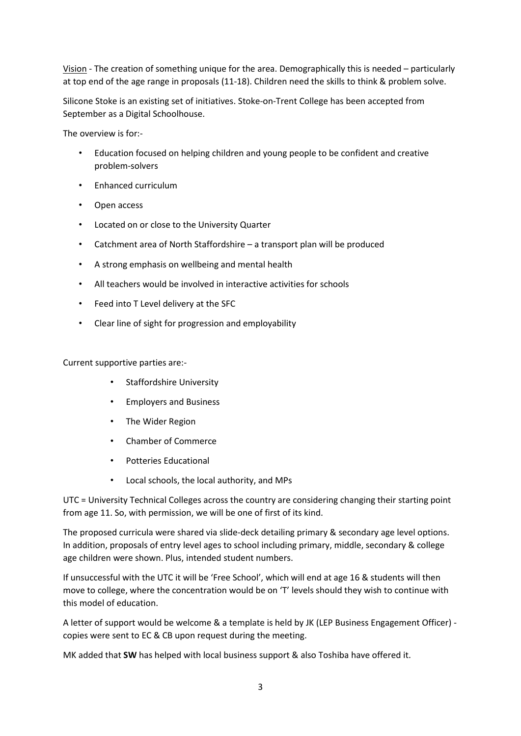Vision - The creation of something unique for the area. Demographically this is needed – particularly at top end of the age range in proposals (11-18). Children need the skills to think & problem solve.

Silicone Stoke is an existing set of initiatives. Stoke-on-Trent College has been accepted from September as a Digital Schoolhouse.

The overview is for:-

- Education focused on helping children and young people to be confident and creative problem-solvers
- Enhanced curriculum
- Open access
- Located on or close to the University Quarter
- Catchment area of North Staffordshire a transport plan will be produced
- A strong emphasis on wellbeing and mental health
- All teachers would be involved in interactive activities for schools
- Feed into T Level delivery at the SFC
- Clear line of sight for progression and employability

Current supportive parties are:-

- Staffordshire University
- Employers and Business
- The Wider Region
- Chamber of Commerce
- Potteries Educational
- Local schools, the local authority, and MPs

UTC = University Technical Colleges across the country are considering changing their starting point from age 11. So, with permission, we will be one of first of its kind.

The proposed curricula were shared via slide-deck detailing primary & secondary age level options. In addition, proposals of entry level ages to school including primary, middle, secondary & college age children were shown. Plus, intended student numbers.

If unsuccessful with the UTC it will be 'Free School', which will end at age 16 & students will then move to college, where the concentration would be on 'T' levels should they wish to continue with this model of education.

A letter of support would be welcome & a template is held by JK (LEP Business Engagement Officer) copies were sent to EC & CB upon request during the meeting.

MK added that **SW** has helped with local business support & also Toshiba have offered it.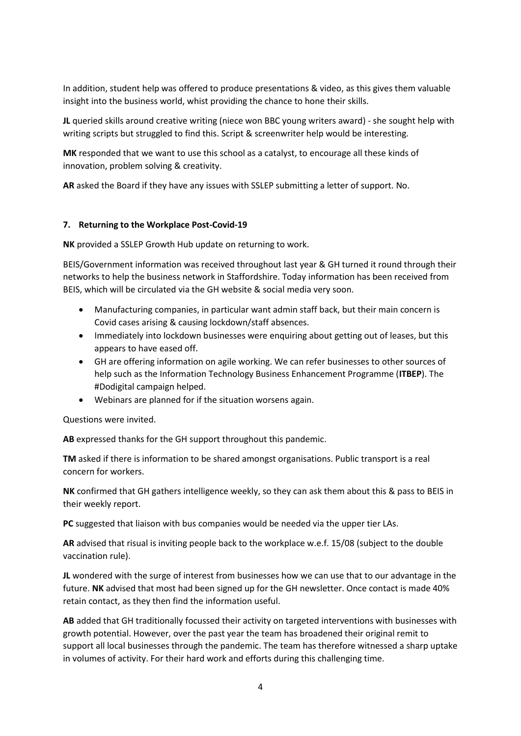In addition, student help was offered to produce presentations & video, as this gives them valuable insight into the business world, whist providing the chance to hone their skills.

**JL** queried skills around creative writing (niece won BBC young writers award) - she sought help with writing scripts but struggled to find this. Script & screenwriter help would be interesting.

**MK** responded that we want to use this school as a catalyst, to encourage all these kinds of innovation, problem solving & creativity.

**AR** asked the Board if they have any issues with SSLEP submitting a letter of support. No.

#### **7. Returning to the Workplace Post-Covid-19**

**NK** provided a SSLEP Growth Hub update on returning to work.

BEIS/Government information was received throughout last year & GH turned it round through their networks to help the business network in Staffordshire. Today information has been received from BEIS, which will be circulated via the GH website & social media very soon.

- Manufacturing companies, in particular want admin staff back, but their main concern is Covid cases arising & causing lockdown/staff absences.
- Immediately into lockdown businesses were enquiring about getting out of leases, but this appears to have eased off.
- GH are offering information on agile working. We can refer businesses to other sources of help such as the Information Technology Business Enhancement Programme (**ITBEP**). The #Dodigital campaign helped.
- Webinars are planned for if the situation worsens again.

Questions were invited.

**AB** expressed thanks for the GH support throughout this pandemic.

**TM** asked if there is information to be shared amongst organisations. Public transport is a real concern for workers.

**NK** confirmed that GH gathers intelligence weekly, so they can ask them about this & pass to BEIS in their weekly report.

**PC** suggested that liaison with bus companies would be needed via the upper tier LAs.

**AR** advised that risual is inviting people back to the workplace w.e.f. 15/08 (subject to the double vaccination rule).

**JL** wondered with the surge of interest from businesses how we can use that to our advantage in the future. **NK** advised that most had been signed up for the GH newsletter. Once contact is made 40% retain contact, as they then find the information useful.

**AB** added that GH traditionally focussed their activity on targeted interventions with businesses with growth potential. However, over the past year the team has broadened their original remit to support all local businesses through the pandemic. The team has therefore witnessed a sharp uptake in volumes of activity. For their hard work and efforts during this challenging time.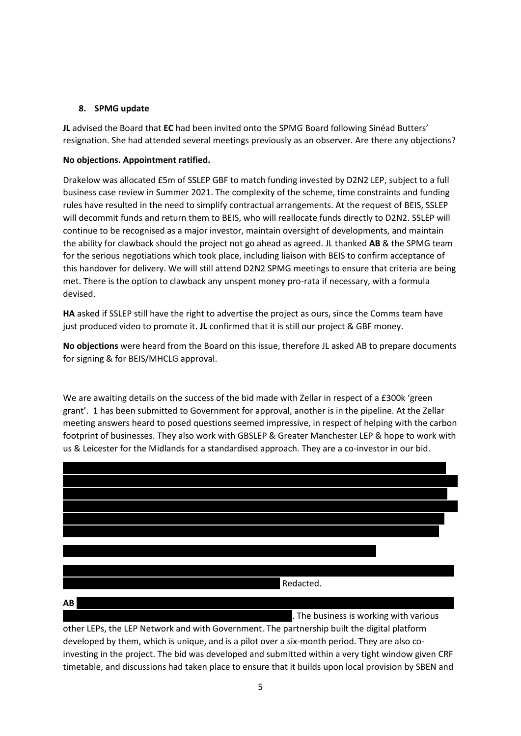## **8. SPMG update**

**JL** advised the Board that **EC** had been invited onto the SPMG Board following Sinéad Butters' resignation. She had attended several meetings previously as an observer. Are there any objections?

## **No objections. Appointment ratified.**

Drakelow was allocated £5m of SSLEP GBF to match funding invested by D2N2 LEP, subject to a full business case review in Summer 2021. The complexity of the scheme, time constraints and funding rules have resulted in the need to simplify contractual arrangements. At the request of BEIS, SSLEP will decommit funds and return them to BEIS, who will reallocate funds directly to D2N2. SSLEP will continue to be recognised as a major investor, maintain oversight of developments, and maintain the ability for clawback should the project not go ahead as agreed. JL thanked **AB** & the SPMG team for the serious negotiations which took place, including liaison with BEIS to confirm acceptance of this handover for delivery. We will still attend D2N2 SPMG meetings to ensure that criteria are being met. There is the option to clawback any unspent money pro-rata if necessary, with a formula devised.

**HA** asked if SSLEP still have the right to advertise the project as ours, since the Comms team have just produced video to promote it. **JL** confirmed that it is still our project & GBF money.

**No objections** were heard from the Board on this issue, therefore JL asked AB to prepare documents for signing & for BEIS/MHCLG approval.

We are awaiting details on the success of the bid made with Zellar in respect of a £300k 'green grant'. 1 has been submitted to Government for approval, another is in the pipeline. At the Zellar meeting answers heard to posed questions seemed impressive, in respect of helping with the carbon footprint of businesses. They also work with GBSLEP & Greater Manchester LEP & hope to work with us & Leicester for the Midlands for a standardised approach. They are a co-investor in our bid.



other LEPs, the LEP Network and with Government. The partnership built the digital platform developed by them, which is unique, and is a pilot over a six-month period. They are also coinvesting in the project. The bid was developed and submitted within a very tight window given CRF timetable, and discussions had taken place to ensure that it builds upon local provision by SBEN and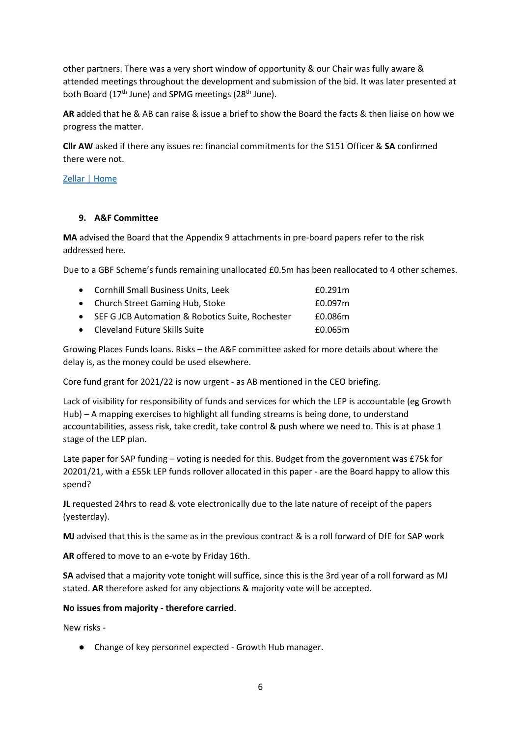other partners. There was a very short window of opportunity & our Chair was fully aware & attended meetings throughout the development and submission of the bid. It was later presented at both Board ( $17<sup>th</sup>$  June) and SPMG meetings ( $28<sup>th</sup>$  June).

**AR** added that he & AB can raise & issue a brief to show the Board the facts & then liaise on how we progress the matter.

**Cllr AW** asked if there any issues re: financial commitments for the S151 Officer & **SA** confirmed there were not.

## [Zellar | Home](https://zellar.com/)

# **9. A&F Committee**

**MA** advised the Board that the Appendix 9 attachments in pre-board papers refer to the risk addressed here.

Due to a GBF Scheme's funds remaining unallocated £0.5m has been reallocated to 4 other schemes.

| • Cornhill Small Business Units, Leek              | £0.291m |
|----------------------------------------------------|---------|
| • Church Street Gaming Hub, Stoke                  | £0.097m |
| • SEF G JCB Automation & Robotics Suite, Rochester | £0.086m |
| • Cleveland Future Skills Suite                    | £0.065m |

Growing Places Funds loans. Risks – the A&F committee asked for more details about where the delay is, as the money could be used elsewhere.

Core fund grant for 2021/22 is now urgent - as AB mentioned in the CEO briefing.

Lack of visibility for responsibility of funds and services for which the LEP is accountable (eg Growth Hub) – A mapping exercises to highlight all funding streams is being done, to understand accountabilities, assess risk, take credit, take control & push where we need to. This is at phase 1 stage of the LEP plan.

Late paper for SAP funding – voting is needed for this. Budget from the government was £75k for 20201/21, with a £55k LEP funds rollover allocated in this paper - are the Board happy to allow this spend?

**JL** requested 24hrs to read & vote electronically due to the late nature of receipt of the papers (yesterday).

**MJ** advised that this is the same as in the previous contract & is a roll forward of DfE for SAP work

**AR** offered to move to an e-vote by Friday 16th.

**SA** advised that a majority vote tonight will suffice, since this is the 3rd year of a roll forward as MJ stated. **AR** therefore asked for any objections & majority vote will be accepted.

#### **No issues from majority - therefore carried**.

New risks -

● Change of key personnel expected - Growth Hub manager.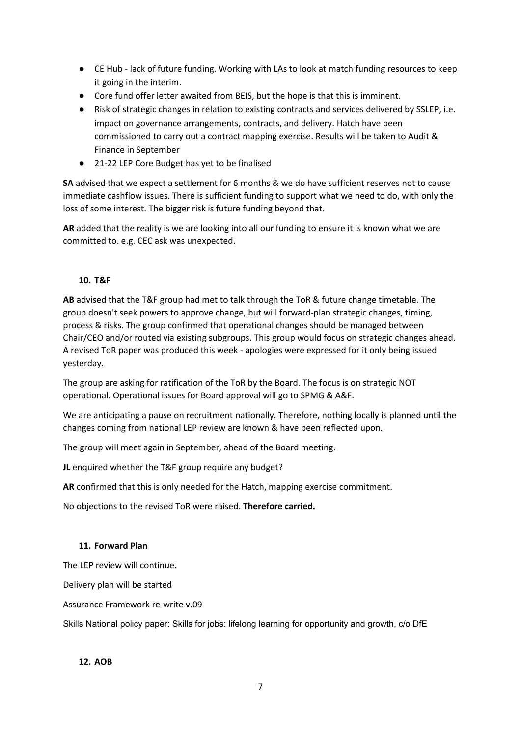- CE Hub lack of future funding. Working with LAs to look at match funding resources to keep it going in the interim.
- Core fund offer letter awaited from BEIS, but the hope is that this is imminent.
- Risk of strategic changes in relation to existing contracts and services delivered by SSLEP, i.e. impact on governance arrangements, contracts, and delivery. Hatch have been commissioned to carry out a contract mapping exercise. Results will be taken to Audit & Finance in September
- 21-22 LEP Core Budget has yet to be finalised

**SA** advised that we expect a settlement for 6 months & we do have sufficient reserves not to cause immediate cashflow issues. There is sufficient funding to support what we need to do, with only the loss of some interest. The bigger risk is future funding beyond that.

**AR** added that the reality is we are looking into all our funding to ensure it is known what we are committed to. e.g. CEC ask was unexpected.

## **10. T&F**

**AB** advised that the T&F group had met to talk through the ToR & future change timetable. The group doesn't seek powers to approve change, but will forward-plan strategic changes, timing, process & risks. The group confirmed that operational changes should be managed between Chair/CEO and/or routed via existing subgroups. This group would focus on strategic changes ahead. A revised ToR paper was produced this week - apologies were expressed for it only being issued yesterday.

The group are asking for ratification of the ToR by the Board. The focus is on strategic NOT operational. Operational issues for Board approval will go to SPMG & A&F.

We are anticipating a pause on recruitment nationally. Therefore, nothing locally is planned until the changes coming from national LEP review are known & have been reflected upon.

The group will meet again in September, ahead of the Board meeting.

**JL** enquired whether the T&F group require any budget?

**AR** confirmed that this is only needed for the Hatch, mapping exercise commitment.

No objections to the revised ToR were raised. **Therefore carried.**

#### **11. Forward Plan**

The LEP review will continue.

Delivery plan will be started

Assurance Framework re-write v.09

Skills National policy paper: Skills for jobs: lifelong learning for opportunity and growth, c/o DfE

#### **12. AOB**